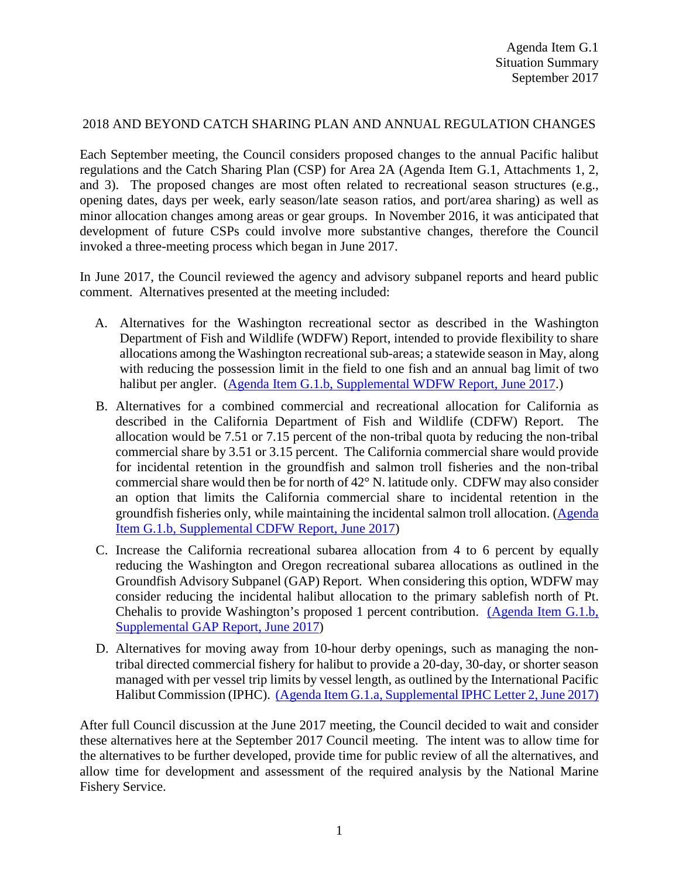## 2018 AND BEYOND CATCH SHARING PLAN AND ANNUAL REGULATION CHANGES

Each September meeting, the Council considers proposed changes to the annual Pacific halibut regulations and the Catch Sharing Plan (CSP) for Area 2A (Agenda Item G.1, Attachments 1, 2, and 3). The proposed changes are most often related to recreational season structures (e.g., opening dates, days per week, early season/late season ratios, and port/area sharing) as well as minor allocation changes among areas or gear groups. In November 2016, it was anticipated that development of future CSPs could involve more substantive changes, therefore the Council invoked a three-meeting process which began in June 2017.

In June 2017, the Council reviewed the agency and advisory subpanel reports and heard public comment. Alternatives presented at the meeting included:

- A. Alternatives for the Washington recreational sector as described in the Washington Department of Fish and Wildlife (WDFW) Report, intended to provide flexibility to share allocations among the Washington recreational sub-areas; a statewide season in May, along with reducing the possession limit in the field to one fish and an annual bag limit of two halibut per angler. [\(Agenda Item G.1.b, Supplemental WDFW Report, June 2017.](http://www.pcouncil.org/wp-content/uploads/2017/06/G1b_Sup_WDFW_Rpt_Jun2017BB.pdf))
- B. Alternatives for a combined commercial and recreational allocation for California as described in the California Department of Fish and Wildlife (CDFW) Report. The allocation would be 7.51 or 7.15 percent of the non-tribal quota by reducing the non-tribal commercial share by 3.51 or 3.15 percent. The California commercial share would provide for incidental retention in the groundfish and salmon troll fisheries and the non-tribal commercial share would then be for north of  $42^{\circ}$  N. latitude only. CDFW may also consider an option that limits the California commercial share to incidental retention in the groundfish fisheries only, while maintaining the incidental salmon troll allocation. [\(Agenda](http://www.pcouncil.org/wp-content/uploads/2017/06/G1b_Sup_CDFW_Rpt_Jun2017BB.pdf)  [Item G.1.b, Supplemental CDFW Report, June 2017\)](http://www.pcouncil.org/wp-content/uploads/2017/06/G1b_Sup_CDFW_Rpt_Jun2017BB.pdf)
- C. Increase the California recreational subarea allocation from 4 to 6 percent by equally reducing the Washington and Oregon recreational subarea allocations as outlined in the Groundfish Advisory Subpanel (GAP) Report. When considering this option, WDFW may consider reducing the incidental halibut allocation to the primary sablefish north of Pt. Chehalis to provide Washington's proposed 1 percent contribution. [\(Agenda Item G.1.b,](http://www.pcouncil.org/wp-content/uploads/2017/06/G1b_Sup_GAP_Rpt_Jun2017BB.pdf)  [Supplemental GAP Report, June 2017\)](http://www.pcouncil.org/wp-content/uploads/2017/06/G1b_Sup_GAP_Rpt_Jun2017BB.pdf)
- D. Alternatives for moving away from 10-hour derby openings, such as managing the nontribal directed commercial fishery for halibut to provide a 20-day, 30-day, or shorter season managed with per vessel trip limits by vessel length, as outlined by the International Pacific Halibut Commission (IPHC). [\(Agenda Item G.1.a, Supplemental IPHC Letter 2, June 2017\)](http://www.pcouncil.org/wp-content/uploads/2017/06/G1a_Sup_IPHC_Ltr2_CommlDerbyFishery_Jun2017BB.pdf)

After full Council discussion at the June 2017 meeting, the Council decided to wait and consider these alternatives here at the September 2017 Council meeting. The intent was to allow time for the alternatives to be further developed, provide time for public review of all the alternatives, and allow time for development and assessment of the required analysis by the National Marine Fishery Service.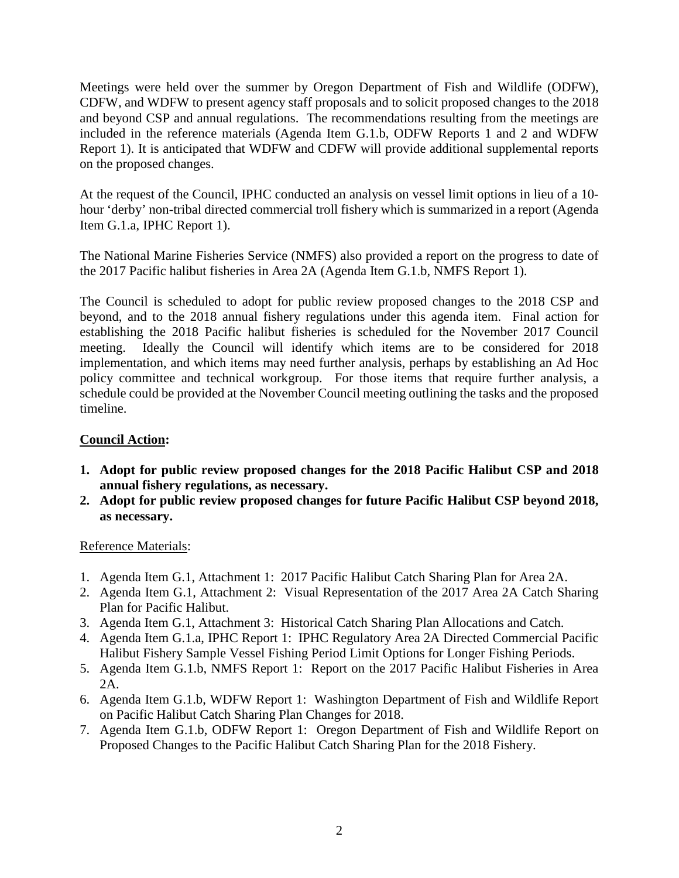Meetings were held over the summer by Oregon Department of Fish and Wildlife (ODFW), CDFW, and WDFW to present agency staff proposals and to solicit proposed changes to the 2018 and beyond CSP and annual regulations. The recommendations resulting from the meetings are included in the reference materials (Agenda Item G.1.b, ODFW Reports 1 and 2 and WDFW Report 1). It is anticipated that WDFW and CDFW will provide additional supplemental reports on the proposed changes.

At the request of the Council, IPHC conducted an analysis on vessel limit options in lieu of a 10 hour 'derby' non-tribal directed commercial troll fishery which is summarized in a report (Agenda Item G.1.a, IPHC Report 1).

The National Marine Fisheries Service (NMFS) also provided a report on the progress to date of the 2017 Pacific halibut fisheries in Area 2A (Agenda Item G.1.b, NMFS Report 1).

The Council is scheduled to adopt for public review proposed changes to the 2018 CSP and beyond, and to the 2018 annual fishery regulations under this agenda item. Final action for establishing the 2018 Pacific halibut fisheries is scheduled for the November 2017 Council meeting. Ideally the Council will identify which items are to be considered for 2018 implementation, and which items may need further analysis, perhaps by establishing an Ad Hoc policy committee and technical workgroup. For those items that require further analysis, a schedule could be provided at the November Council meeting outlining the tasks and the proposed timeline.

## **Council Action:**

- **1. Adopt for public review proposed changes for the 2018 Pacific Halibut CSP and 2018 annual fishery regulations, as necessary.**
- **2. Adopt for public review proposed changes for future Pacific Halibut CSP beyond 2018, as necessary.**

## Reference Materials:

- 1. Agenda Item G.1, Attachment 1: 2017 Pacific Halibut Catch Sharing Plan for Area 2A.
- 2. Agenda Item G.1, Attachment 2: Visual Representation of the 2017 Area 2A Catch Sharing Plan for Pacific Halibut.
- 3. Agenda Item G.1, Attachment 3: Historical Catch Sharing Plan Allocations and Catch.
- 4. Agenda Item G.1.a, IPHC Report 1: IPHC Regulatory Area 2A Directed Commercial Pacific Halibut Fishery Sample Vessel Fishing Period Limit Options for Longer Fishing Periods.
- 5. Agenda Item G.1.b, NMFS Report 1: Report on the 2017 Pacific Halibut Fisheries in Area 2A.
- 6. Agenda Item G.1.b, WDFW Report 1: Washington Department of Fish and Wildlife Report on Pacific Halibut Catch Sharing Plan Changes for 2018.
- 7. Agenda Item G.1.b, ODFW Report 1: Oregon Department of Fish and Wildlife Report on Proposed Changes to the Pacific Halibut Catch Sharing Plan for the 2018 Fishery.